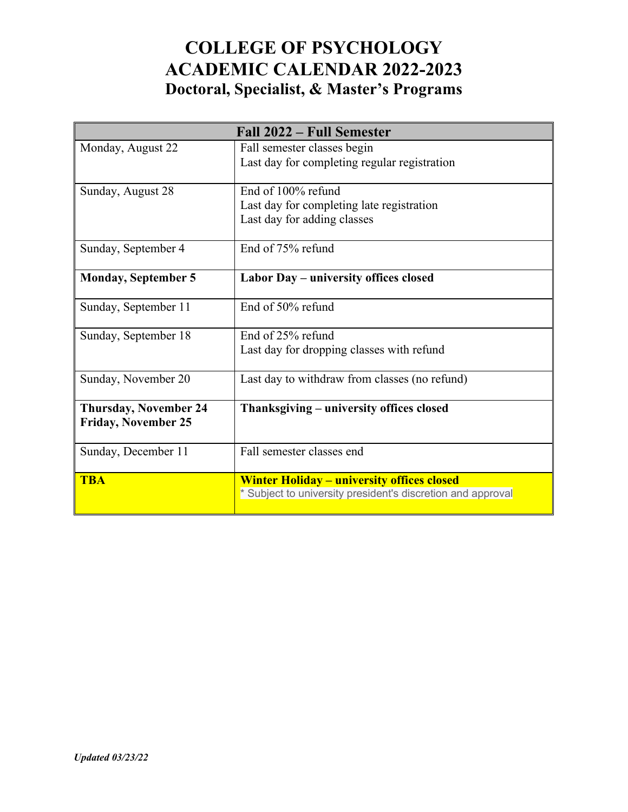## **COLLEGE OF PSYCHOLOGY ACADEMIC CALENDAR 2022-2023 Doctoral, Specialist, & Master's Programs**

| Fall 2022 – Full Semester                                  |                                                                                                                  |
|------------------------------------------------------------|------------------------------------------------------------------------------------------------------------------|
| Monday, August 22                                          | Fall semester classes begin<br>Last day for completing regular registration                                      |
| Sunday, August 28                                          | End of 100% refund<br>Last day for completing late registration<br>Last day for adding classes                   |
| Sunday, September 4                                        | End of 75% refund                                                                                                |
| <b>Monday, September 5</b>                                 | Labor Day - university offices closed                                                                            |
| Sunday, September 11                                       | End of 50% refund                                                                                                |
| Sunday, September 18                                       | End of 25% refund<br>Last day for dropping classes with refund                                                   |
| Sunday, November 20                                        | Last day to withdraw from classes (no refund)                                                                    |
| <b>Thursday, November 24</b><br><b>Friday, November 25</b> | Thanksgiving - university offices closed                                                                         |
| Sunday, December 11                                        | Fall semester classes end                                                                                        |
| <b>TBA</b>                                                 | <b>Winter Holiday - university offices closed</b><br>* Subject to university president's discretion and approval |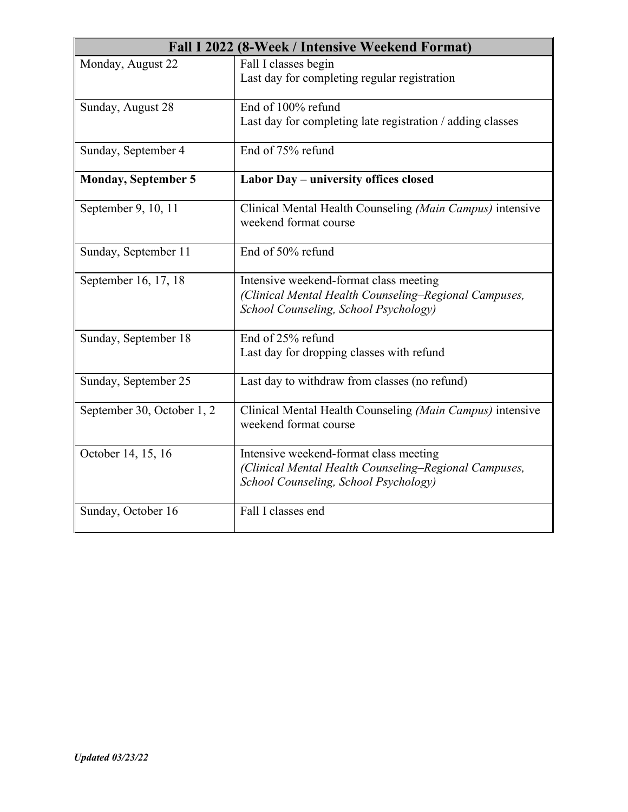| Fall I 2022 (8-Week / Intensive Weekend Format) |                                                                                                                                          |
|-------------------------------------------------|------------------------------------------------------------------------------------------------------------------------------------------|
| Monday, August 22                               | Fall I classes begin<br>Last day for completing regular registration                                                                     |
| Sunday, August 28                               | End of 100% refund<br>Last day for completing late registration / adding classes                                                         |
| Sunday, September 4                             | End of 75% refund                                                                                                                        |
| <b>Monday, September 5</b>                      | Labor Day - university offices closed                                                                                                    |
| September 9, 10, 11                             | Clinical Mental Health Counseling (Main Campus) intensive<br>weekend format course                                                       |
| Sunday, September 11                            | End of 50% refund                                                                                                                        |
| September 16, 17, 18                            | Intensive weekend-format class meeting<br>(Clinical Mental Health Counseling-Regional Campuses,<br>School Counseling, School Psychology) |
| Sunday, September 18                            | End of 25% refund<br>Last day for dropping classes with refund                                                                           |
| Sunday, September 25                            | Last day to withdraw from classes (no refund)                                                                                            |
| September 30, October 1, 2                      | Clinical Mental Health Counseling (Main Campus) intensive<br>weekend format course                                                       |
| October 14, 15, 16                              | Intensive weekend-format class meeting<br>(Clinical Mental Health Counseling-Regional Campuses,<br>School Counseling, School Psychology) |
| Sunday, October 16                              | Fall I classes end                                                                                                                       |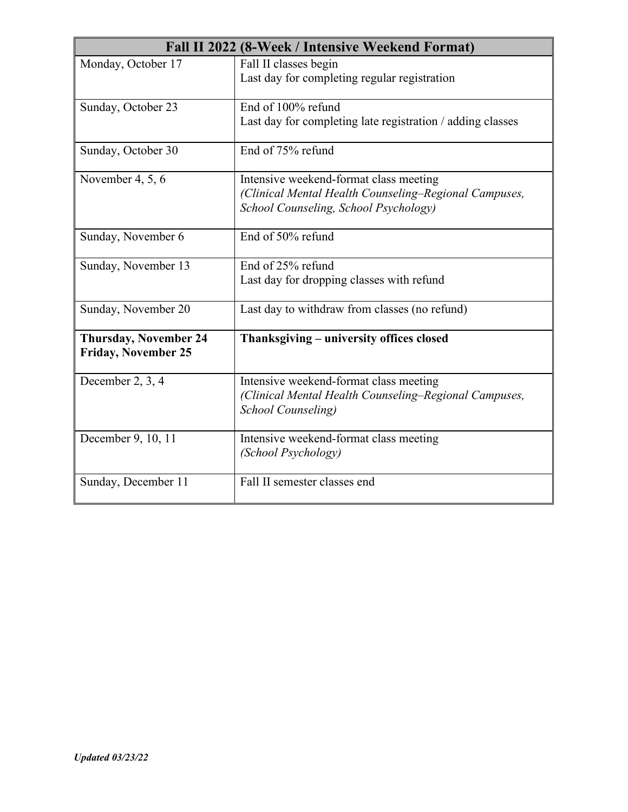| Fall II 2022 (8-Week / Intensive Weekend Format)           |                                                            |
|------------------------------------------------------------|------------------------------------------------------------|
| Monday, October 17                                         | Fall II classes begin                                      |
|                                                            | Last day for completing regular registration               |
| Sunday, October 23                                         | End of 100% refund                                         |
|                                                            | Last day for completing late registration / adding classes |
| Sunday, October 30                                         | End of 75% refund                                          |
| November 4, 5, 6                                           | Intensive weekend-format class meeting                     |
|                                                            | (Clinical Mental Health Counseling-Regional Campuses,      |
|                                                            | School Counseling, School Psychology)                      |
| Sunday, November 6                                         | End of 50% refund                                          |
| Sunday, November 13                                        | End of 25% refund                                          |
|                                                            | Last day for dropping classes with refund                  |
| Sunday, November 20                                        | Last day to withdraw from classes (no refund)              |
| <b>Thursday, November 24</b><br><b>Friday, November 25</b> | Thanksgiving – university offices closed                   |
| December 2, 3, 4                                           | Intensive weekend-format class meeting                     |
|                                                            | (Clinical Mental Health Counseling–Regional Campuses,      |
|                                                            | <b>School Counseling</b> )                                 |
| December 9, 10, 11                                         | Intensive weekend-format class meeting                     |
|                                                            | (School Psychology)                                        |
| Sunday, December 11                                        | Fall II semester classes end                               |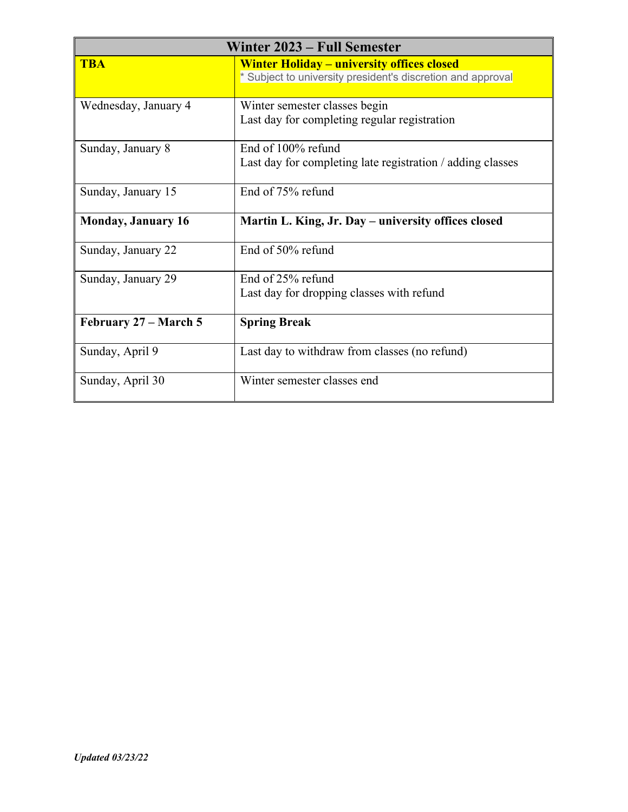| Winter 2023 – Full Semester |                                                                                                                  |
|-----------------------------|------------------------------------------------------------------------------------------------------------------|
| <b>TBA</b>                  | <b>Winter Holiday - university offices closed</b><br>* Subject to university president's discretion and approval |
| Wednesday, January 4        | Winter semester classes begin<br>Last day for completing regular registration                                    |
| Sunday, January 8           | End of 100% refund<br>Last day for completing late registration / adding classes                                 |
| Sunday, January 15          | End of 75% refund                                                                                                |
| <b>Monday, January 16</b>   | Martin L. King, Jr. Day – university offices closed                                                              |
| Sunday, January 22          | End of 50% refund                                                                                                |
| Sunday, January 29          | End of 25% refund<br>Last day for dropping classes with refund                                                   |
| February 27 – March 5       | <b>Spring Break</b>                                                                                              |
| Sunday, April 9             | Last day to withdraw from classes (no refund)                                                                    |
| Sunday, April 30            | Winter semester classes end                                                                                      |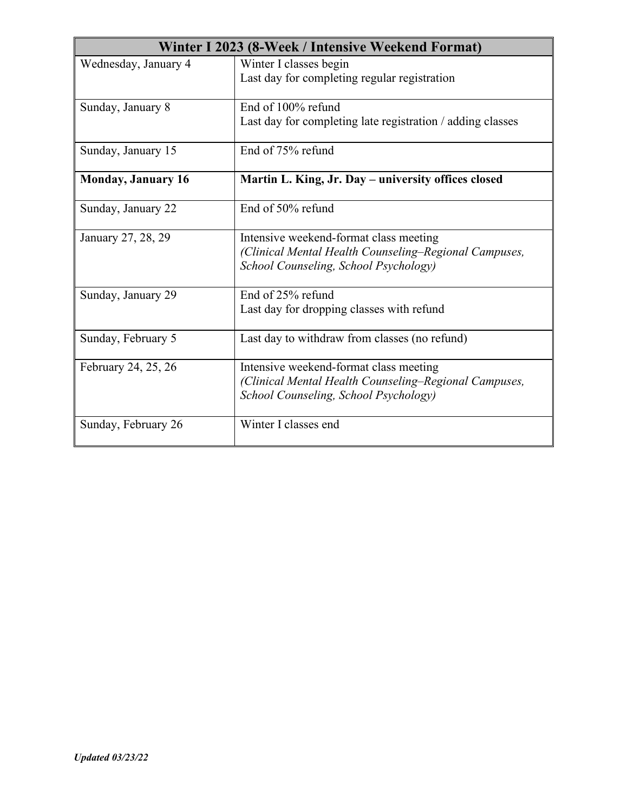| Winter I 2023 (8-Week / Intensive Weekend Format) |                                                                                                                                          |
|---------------------------------------------------|------------------------------------------------------------------------------------------------------------------------------------------|
| Wednesday, January 4                              | Winter I classes begin<br>Last day for completing regular registration                                                                   |
| Sunday, January 8                                 | End of 100% refund<br>Last day for completing late registration / adding classes                                                         |
| Sunday, January 15                                | End of 75% refund                                                                                                                        |
| <b>Monday, January 16</b>                         | Martin L. King, Jr. Day - university offices closed                                                                                      |
| Sunday, January 22                                | End of 50% refund                                                                                                                        |
| January 27, 28, 29                                | Intensive weekend-format class meeting<br>(Clinical Mental Health Counseling-Regional Campuses,<br>School Counseling, School Psychology) |
| Sunday, January 29                                | End of 25% refund<br>Last day for dropping classes with refund                                                                           |
| Sunday, February 5                                | Last day to withdraw from classes (no refund)                                                                                            |
| February 24, 25, 26                               | Intensive weekend-format class meeting<br>(Clinical Mental Health Counseling-Regional Campuses,<br>School Counseling, School Psychology) |
| Sunday, February 26                               | Winter I classes end                                                                                                                     |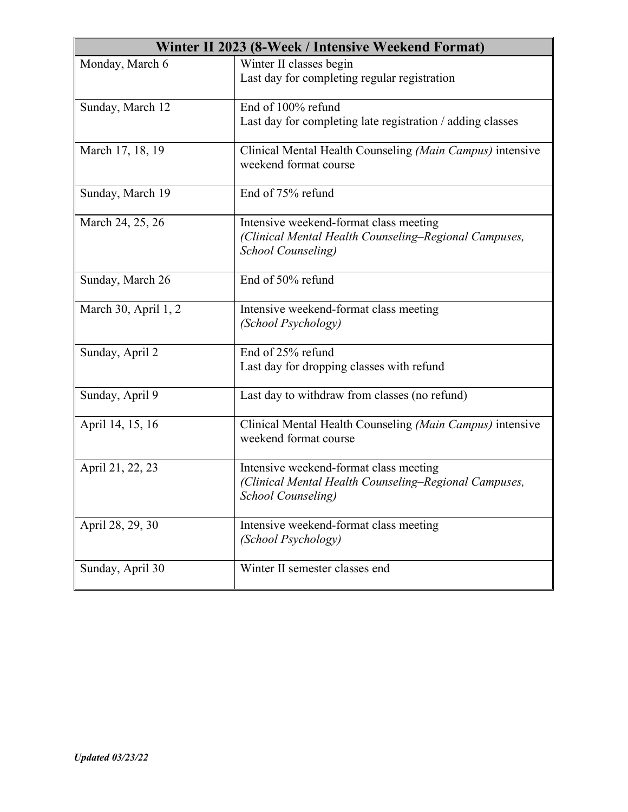| Winter II 2023 (8-Week / Intensive Weekend Format) |                                                                                                                               |
|----------------------------------------------------|-------------------------------------------------------------------------------------------------------------------------------|
| Monday, March 6                                    | Winter II classes begin<br>Last day for completing regular registration                                                       |
| Sunday, March 12                                   | End of 100% refund<br>Last day for completing late registration / adding classes                                              |
| March 17, 18, 19                                   | Clinical Mental Health Counseling (Main Campus) intensive<br>weekend format course                                            |
| Sunday, March 19                                   | End of 75% refund                                                                                                             |
| March 24, 25, 26                                   | Intensive weekend-format class meeting<br>(Clinical Mental Health Counseling-Regional Campuses,<br><b>School Counseling</b> ) |
| Sunday, March 26                                   | End of 50% refund                                                                                                             |
| March 30, April 1, 2                               | Intensive weekend-format class meeting<br>(School Psychology)                                                                 |
| Sunday, April 2                                    | End of 25% refund<br>Last day for dropping classes with refund                                                                |
| Sunday, April 9                                    | Last day to withdraw from classes (no refund)                                                                                 |
| April 14, 15, 16                                   | Clinical Mental Health Counseling (Main Campus) intensive<br>weekend format course                                            |
| April 21, 22, 23                                   | Intensive weekend-format class meeting<br>(Clinical Mental Health Counseling-Regional Campuses,<br>School Counseling)         |
| April 28, 29, 30                                   | Intensive weekend-format class meeting<br>(School Psychology)                                                                 |
| Sunday, April 30                                   | Winter II semester classes end                                                                                                |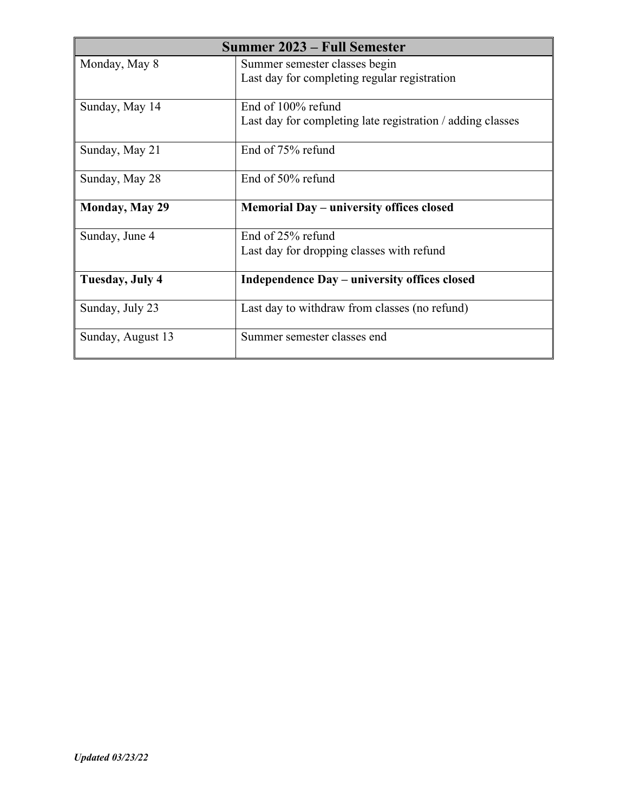| <b>Summer 2023 – Full Semester</b> |                                                            |
|------------------------------------|------------------------------------------------------------|
| Monday, May 8                      | Summer semester classes begin                              |
|                                    | Last day for completing regular registration               |
| Sunday, May 14                     | End of 100% refund                                         |
|                                    | Last day for completing late registration / adding classes |
| Sunday, May 21                     | End of 75% refund                                          |
| Sunday, May 28                     | End of 50% refund                                          |
| <b>Monday, May 29</b>              | Memorial Day – university offices closed                   |
| Sunday, June 4                     | End of 25% refund                                          |
|                                    | Last day for dropping classes with refund                  |
| Tuesday, July 4                    | Independence Day – university offices closed               |
| Sunday, July 23                    | Last day to withdraw from classes (no refund)              |
| Sunday, August 13                  | Summer semester classes end                                |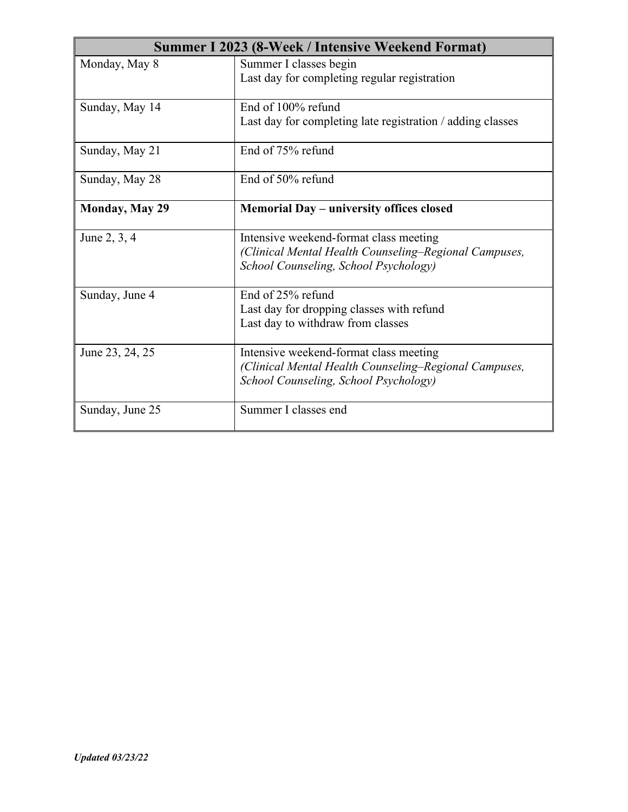| Summer I 2023 (8-Week / Intensive Weekend Format) |                                                                                                                                          |
|---------------------------------------------------|------------------------------------------------------------------------------------------------------------------------------------------|
| Monday, May 8                                     | Summer I classes begin<br>Last day for completing regular registration                                                                   |
| Sunday, May 14                                    | End of 100% refund<br>Last day for completing late registration / adding classes                                                         |
| Sunday, May 21                                    | End of 75% refund                                                                                                                        |
| Sunday, May 28                                    | End of 50% refund                                                                                                                        |
| Monday, May 29                                    | Memorial Day – university offices closed                                                                                                 |
| June 2, 3, 4                                      | Intensive weekend-format class meeting<br>(Clinical Mental Health Counseling–Regional Campuses,<br>School Counseling, School Psychology) |
| Sunday, June 4                                    | End of 25% refund<br>Last day for dropping classes with refund<br>Last day to withdraw from classes                                      |
| June 23, 24, 25                                   | Intensive weekend-format class meeting<br>(Clinical Mental Health Counseling–Regional Campuses,<br>School Counseling, School Psychology) |
| Sunday, June 25                                   | Summer I classes end                                                                                                                     |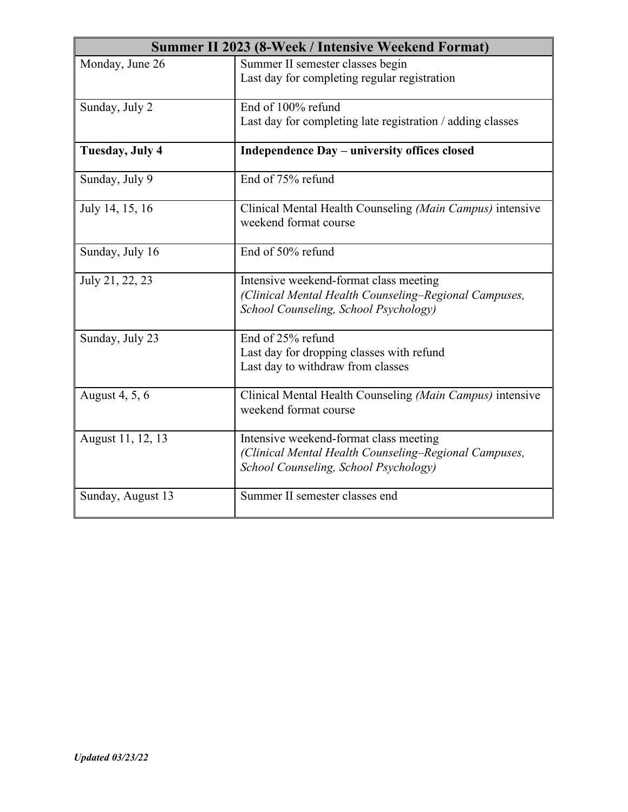| Summer II 2023 (8-Week / Intensive Weekend Format) |                                                                                                                                          |
|----------------------------------------------------|------------------------------------------------------------------------------------------------------------------------------------------|
| Monday, June 26                                    | Summer II semester classes begin<br>Last day for completing regular registration                                                         |
| Sunday, July 2                                     | End of 100% refund<br>Last day for completing late registration / adding classes                                                         |
| Tuesday, July 4                                    | Independence Day - university offices closed                                                                                             |
| Sunday, July 9                                     | End of 75% refund                                                                                                                        |
| July 14, 15, 16                                    | Clinical Mental Health Counseling (Main Campus) intensive<br>weekend format course                                                       |
| Sunday, July 16                                    | End of 50% refund                                                                                                                        |
| July 21, 22, 23                                    | Intensive weekend-format class meeting<br>(Clinical Mental Health Counseling–Regional Campuses,<br>School Counseling, School Psychology) |
| Sunday, July 23                                    | End of 25% refund<br>Last day for dropping classes with refund<br>Last day to withdraw from classes                                      |
| August 4, 5, 6                                     | Clinical Mental Health Counseling (Main Campus) intensive<br>weekend format course                                                       |
| August 11, 12, 13                                  | Intensive weekend-format class meeting<br>(Clinical Mental Health Counseling–Regional Campuses,<br>School Counseling, School Psychology) |
| Sunday, August 13                                  | Summer II semester classes end                                                                                                           |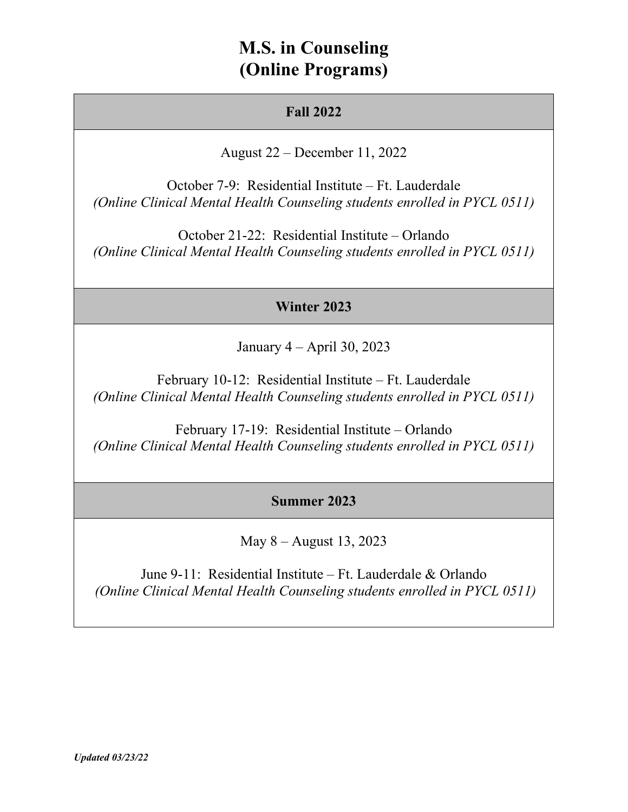## **M.S. in Counseling (Online Programs)**

## **Fall 2022**

August 22 – December 11, 2022

October 7-9: Residential Institute – Ft. Lauderdale *(Online Clinical Mental Health Counseling students enrolled in PYCL 0511)*

October 21-22: Residential Institute – Orlando *(Online Clinical Mental Health Counseling students enrolled in PYCL 0511)*

## **Winter 2023**

January 4 – April 30, 2023

February 10-12: Residential Institute – Ft. Lauderdale *(Online Clinical Mental Health Counseling students enrolled in PYCL 0511)*

February 17-19: Residential Institute – Orlando *(Online Clinical Mental Health Counseling students enrolled in PYCL 0511)*

## **Summer 2023**

May 8 – August 13, 2023

June 9-11: Residential Institute – Ft. Lauderdale & Orlando *(Online Clinical Mental Health Counseling students enrolled in PYCL 0511)*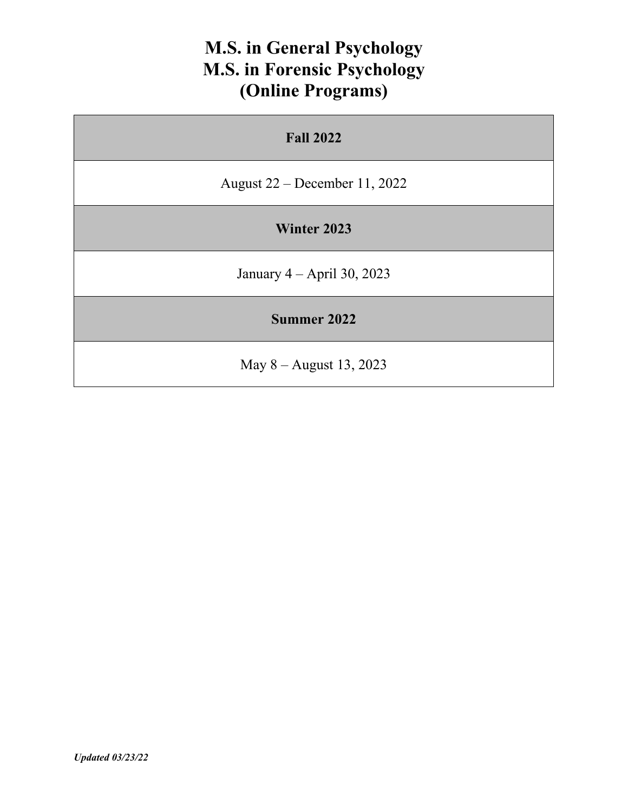# **M.S. in General Psychology M.S. in Forensic Psychology (Online Programs)**

| <b>Fall 2022</b>                |  |
|---------------------------------|--|
| August $22$ – December 11, 2022 |  |
| Winter 2023                     |  |
| January $4 - April 30, 2023$    |  |
| <b>Summer 2022</b>              |  |
| May $8 -$ August 13, 2023       |  |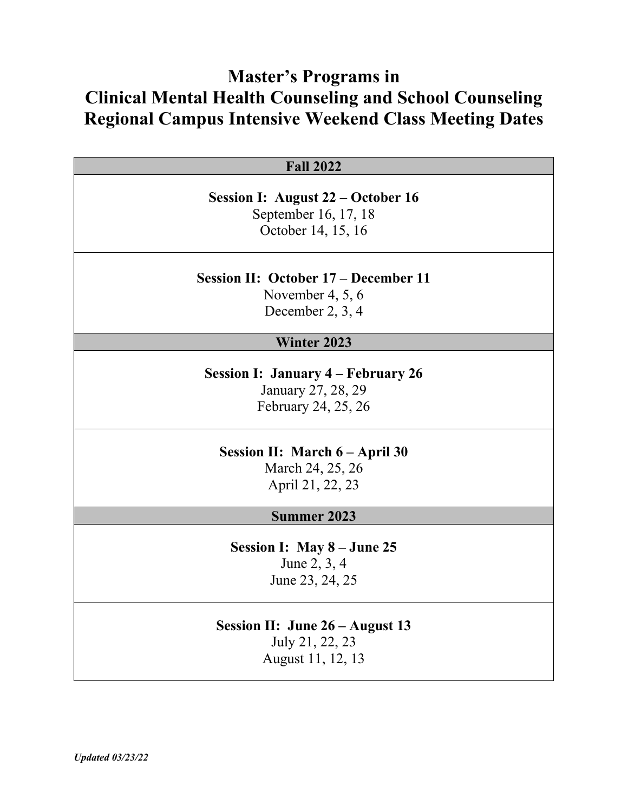## **Master's Programs in Clinical Mental Health Counseling and School Counseling Regional Campus Intensive Weekend Class Meeting Dates**

| <b>Fall 2022</b> |  |
|------------------|--|
|------------------|--|

**Session I: August 22 – October 16**  September 16, 17, 18 October 14, 15, 16

**Session II: October 17 – December 11** 

November 4, 5, 6 December 2, 3, 4

## **Winter 2023**

**Session I: January 4 – February 26**  January 27, 28, 29 February 24, 25, 26

### **Session II: March 6 – April 30**

March 24, 25, 26 April 21, 22, 23

#### **Summer 2023**

**Session I: May 8 – June 25** June 2, 3, 4 June 23, 24, 25

## **Session II: June 26 – August 13** July 21, 22, 23 August 11, 12, 13

*Updated 03/23/22*